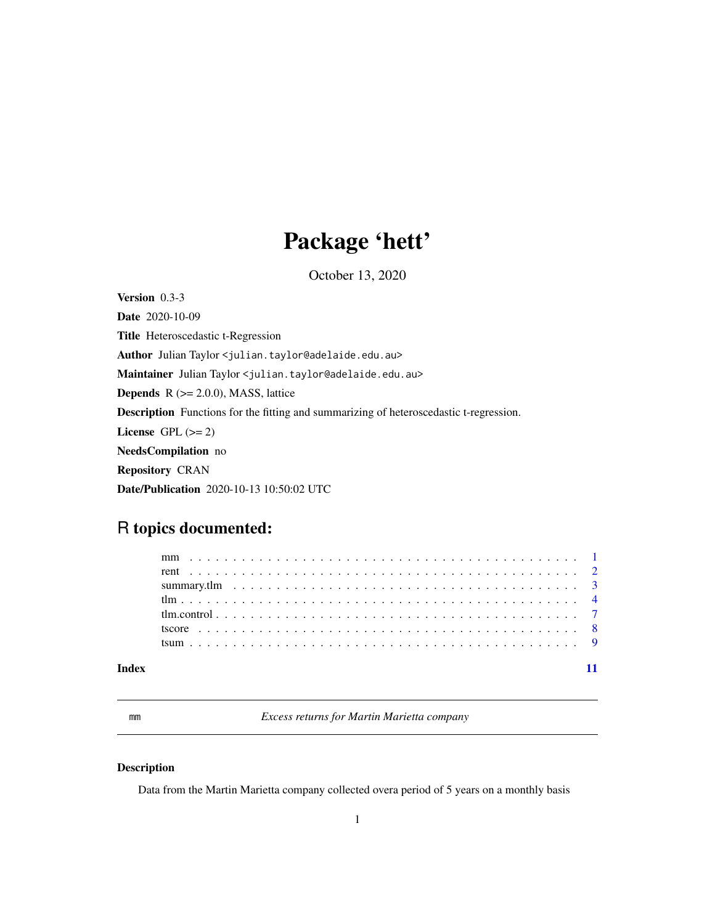# Package 'hett'

October 13, 2020

<span id="page-0-0"></span>Version 0.3-3 Date 2020-10-09 Title Heteroscedastic t-Regression Author Julian Taylor <julian.taylor@adelaide.edu.au> Maintainer Julian Taylor <julian.taylor@adelaide.edu.au> **Depends**  $R$  ( $>= 2.0.0$ ), MASS, lattice Description Functions for the fitting and summarizing of heteroscedastic t-regression. License GPL  $(>= 2)$ NeedsCompilation no Repository CRAN Date/Publication 2020-10-13 10:50:02 UTC

# R topics documented:

| Index |  |  |  |  |  |  |  |  |  |  |  |  |  |  |  |  |  |  |
|-------|--|--|--|--|--|--|--|--|--|--|--|--|--|--|--|--|--|--|

mm *Excess returns for Martin Marietta company*

# Description

Data from the Martin Marietta company collected overa period of 5 years on a monthly basis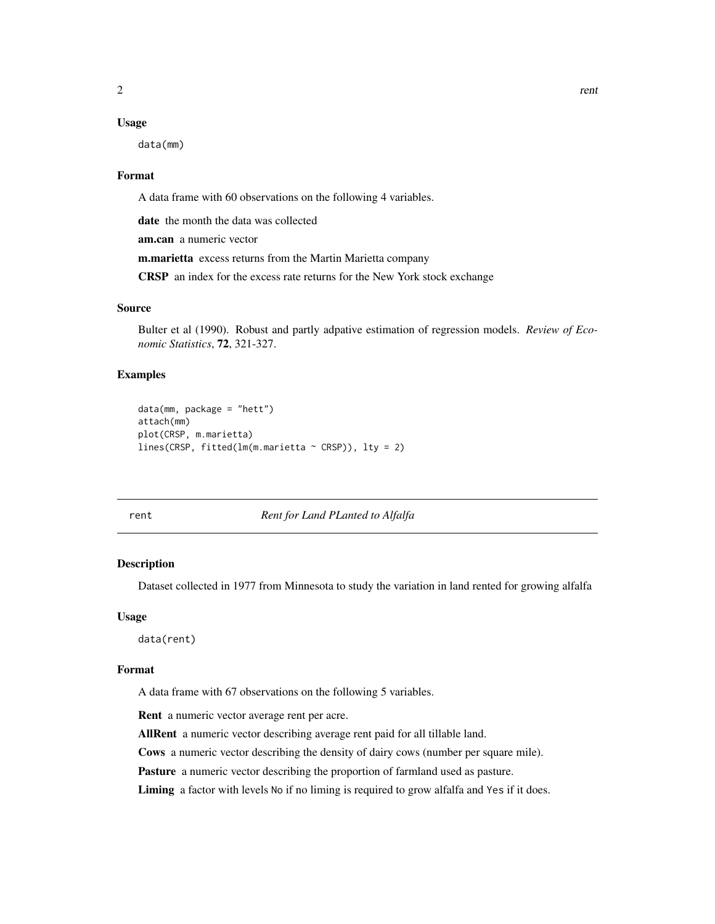#### <span id="page-1-0"></span>Usage

data(mm)

#### Format

A data frame with 60 observations on the following 4 variables.

date the month the data was collected

am.can a numeric vector

m.marietta excess returns from the Martin Marietta company

CRSP an index for the excess rate returns for the New York stock exchange

#### Source

Bulter et al (1990). Robust and partly adpative estimation of regression models. *Review of Economic Statistics*, 72, 321-327.

#### Examples

```
data(mm, package = "hett")
attach(mm)
plot(CRSP, m.marietta)
lines(CRSP, fitted(lm(m.marietta ~ CRSP)), lty = 2)
```
#### rent *Rent for Land PLanted to Alfalfa*

#### Description

Dataset collected in 1977 from Minnesota to study the variation in land rented for growing alfalfa

#### Usage

data(rent)

#### Format

A data frame with 67 observations on the following 5 variables.

Rent a numeric vector average rent per acre.

AllRent a numeric vector describing average rent paid for all tillable land.

Cows a numeric vector describing the density of dairy cows (number per square mile).

Pasture a numeric vector describing the proportion of farmland used as pasture.

Liming a factor with levels No if no liming is required to grow alfalfa and Yes if it does.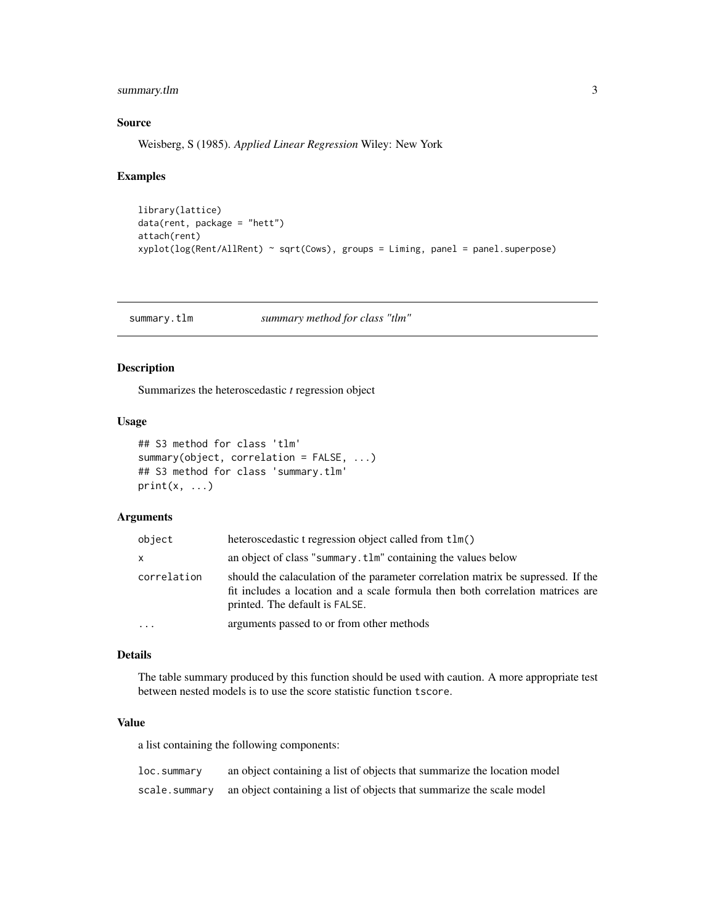<span id="page-2-0"></span>summary.tlm 3

#### Source

Weisberg, S (1985). *Applied Linear Regression* Wiley: New York

#### Examples

```
library(lattice)
data(rent, package = "hett")
attach(rent)
xyplot(log(Rent/AllRent) ~ sqrt(Cows), groups = Liming, panel = panel.superpose)
```
<span id="page-2-1"></span>summary.tlm *summary method for class "tlm"*

#### Description

Summarizes the heteroscedastic *t* regression object

#### Usage

```
## S3 method for class 'tlm'
summary(object, correlation = FALSE, ...)
## S3 method for class 'summary.tlm'
print(x, \ldots)
```
#### Arguments

| object      | heteroscedastic t regression object called from t1m()                                                                                                                                                |
|-------------|------------------------------------------------------------------------------------------------------------------------------------------------------------------------------------------------------|
| x           | an object of class "summary.tlm" containing the values below                                                                                                                                         |
| correlation | should the calaculation of the parameter correlation matrix be supressed. If the<br>fit includes a location and a scale formula then both correlation matrices are<br>printed. The default is FALSE. |
| $\ddotsc$   | arguments passed to or from other methods                                                                                                                                                            |

#### Details

The table summary produced by this function should be used with caution. A more appropriate test between nested models is to use the score statistic function tscore.

#### Value

a list containing the following components:

| loc.summary | an object containing a list of objects that summarize the location model             |
|-------------|--------------------------------------------------------------------------------------|
|             | scale. summary an object containing a list of objects that summarize the scale model |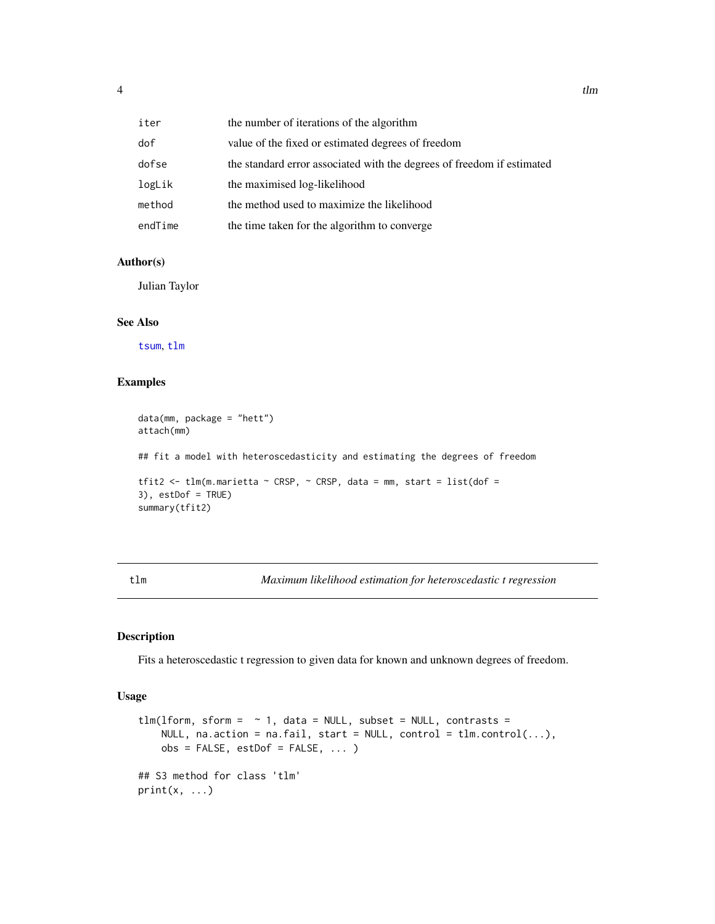<span id="page-3-0"></span>

| iter    | the number of iterations of the algorithm                              |
|---------|------------------------------------------------------------------------|
| dof     | value of the fixed or estimated degrees of freedom                     |
| dofse   | the standard error associated with the degrees of freedom if estimated |
| logLik  | the maximised log-likelihood                                           |
| method  | the method used to maximize the likelihood                             |
| endTime | the time taken for the algorithm to converge                           |

### Author(s)

Julian Taylor

#### See Also

[tsum](#page-8-1), [tlm](#page-3-1)

#### Examples

```
data(mm, package = "hett")
attach(mm)
## fit a model with heteroscedasticity and estimating the degrees of freedom
tfit2 <- tlm(m.marietta ~ CRSP, ~ CRSP, data = mm, start = list(dof =
3), estDof = TRUE)
summary(tfit2)
```
<span id="page-3-1"></span>tlm *Maximum likelihood estimation for heteroscedastic t regression*

#### Description

Fits a heteroscedastic t regression to given data for known and unknown degrees of freedom.

#### Usage

```
tlm(lform, sform = \sim 1, data = NULL, subset = NULL, contrasts =
   NULL, na.action = na.fail, start = NULL, control = tlm.control(...),
    obs = FALSE, estDof = FALSE, ...)## S3 method for class 'tlm'
print(x, \ldots)
```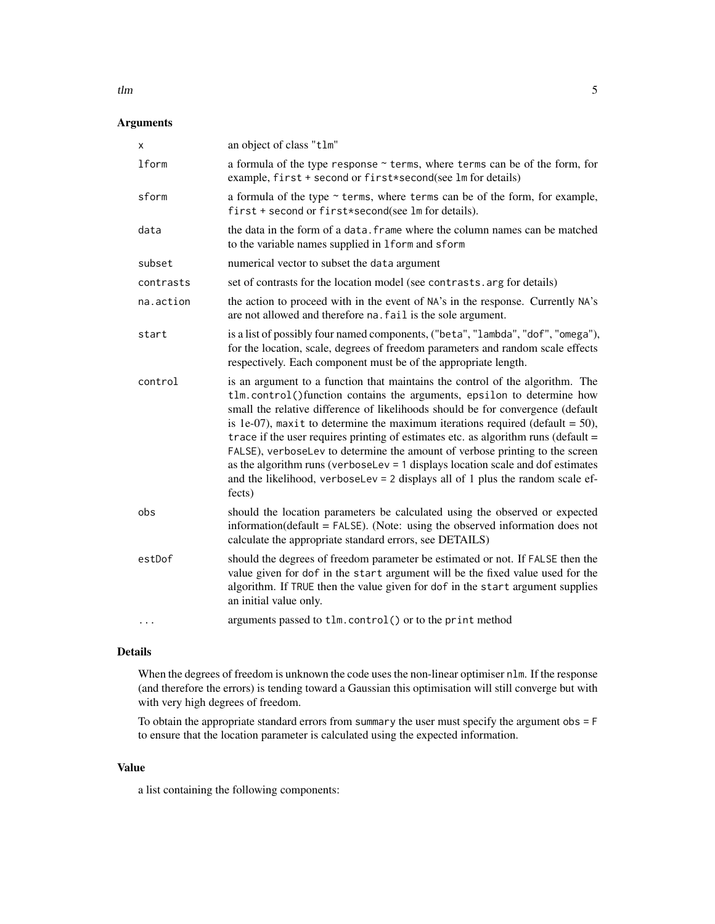#### $t \ln \frac{1}{\sqrt{2}}$

#### Arguments

| x            | an object of class "tlm"                                                                                                                                                                                                                                                                                                                                                                                                                                                                                                                                                                                                                                                                |
|--------------|-----------------------------------------------------------------------------------------------------------------------------------------------------------------------------------------------------------------------------------------------------------------------------------------------------------------------------------------------------------------------------------------------------------------------------------------------------------------------------------------------------------------------------------------------------------------------------------------------------------------------------------------------------------------------------------------|
| <b>lform</b> | a formula of the type response ~ terms, where terms can be of the form, for<br>example, first + second or first*second(see lm for details)                                                                                                                                                                                                                                                                                                                                                                                                                                                                                                                                              |
| sform        | a formula of the type $\sim$ terms, where terms can be of the form, for example,<br>first + second or first*second(see lm for details).                                                                                                                                                                                                                                                                                                                                                                                                                                                                                                                                                 |
| data         | the data in the form of a data. Frame where the column names can be matched<br>to the variable names supplied in 1form and sform                                                                                                                                                                                                                                                                                                                                                                                                                                                                                                                                                        |
| subset       | numerical vector to subset the data argument                                                                                                                                                                                                                                                                                                                                                                                                                                                                                                                                                                                                                                            |
| contrasts    | set of contrasts for the location model (see contrasts. arg for details)                                                                                                                                                                                                                                                                                                                                                                                                                                                                                                                                                                                                                |
| na.action    | the action to proceed with in the event of NA's in the response. Currently NA's<br>are not allowed and therefore na. fail is the sole argument.                                                                                                                                                                                                                                                                                                                                                                                                                                                                                                                                         |
| start        | is a list of possibly four named components, ("beta", "lambda", "dof", "omega"),<br>for the location, scale, degrees of freedom parameters and random scale effects<br>respectively. Each component must be of the appropriate length.                                                                                                                                                                                                                                                                                                                                                                                                                                                  |
| control      | is an argument to a function that maintains the control of the algorithm. The<br>tlm.control()function contains the arguments, epsilon to determine how<br>small the relative difference of likelihoods should be for convergence (default<br>is 1e-07), maxit to determine the maximum iterations required (default = $50$ ),<br>trace if the user requires printing of estimates etc. as algorithm runs (default =<br>FALSE), verboseLev to determine the amount of verbose printing to the screen<br>as the algorithm runs (verboseLev $= 1$ displays location scale and dof estimates<br>and the likelihood, verboseLev = $2$ displays all of 1 plus the random scale ef-<br>fects) |
| obs          | should the location parameters be calculated using the observed or expected<br>information( $default = FALSE$ ). (Note: using the observed information does not<br>calculate the appropriate standard errors, see DETAILS)                                                                                                                                                                                                                                                                                                                                                                                                                                                              |
| estDof       | should the degrees of freedom parameter be estimated or not. If FALSE then the<br>value given for dof in the start argument will be the fixed value used for the<br>algorithm. If TRUE then the value given for dof in the start argument supplies<br>an initial value only.                                                                                                                                                                                                                                                                                                                                                                                                            |
|              | arguments passed to tlm.control() or to the print method                                                                                                                                                                                                                                                                                                                                                                                                                                                                                                                                                                                                                                |

### Details

When the degrees of freedom is unknown the code uses the non-linear optimiser nlm. If the response (and therefore the errors) is tending toward a Gaussian this optimisation will still converge but with with very high degrees of freedom.

To obtain the appropriate standard errors from summary the user must specify the argument obs = F to ensure that the location parameter is calculated using the expected information.

#### Value

a list containing the following components: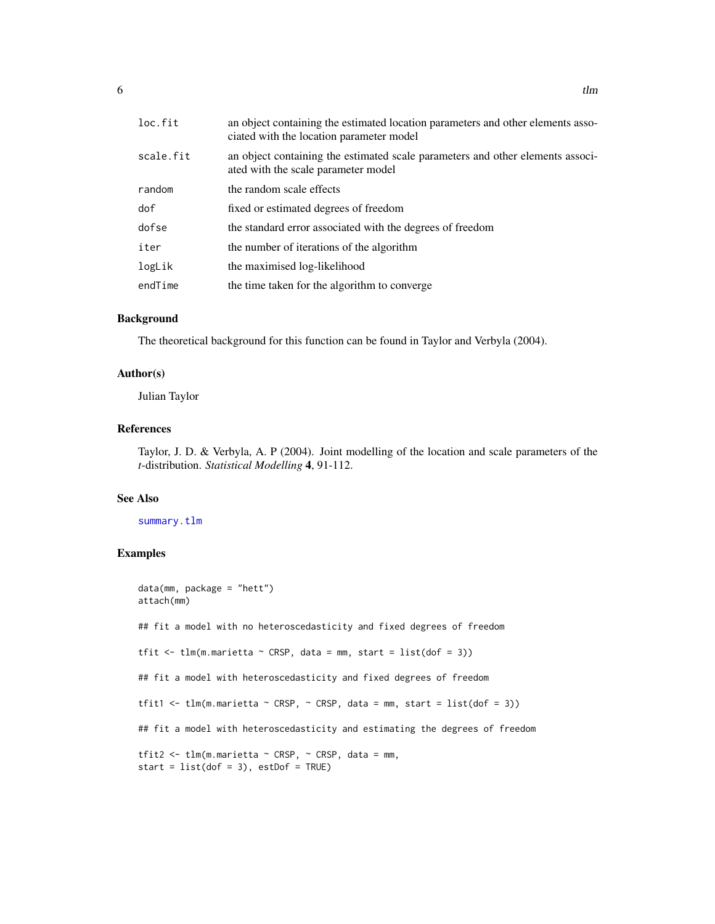<span id="page-5-0"></span>

| loc.fit   | an object containing the estimated location parameters and other elements asso-<br>ciated with the location parameter model |
|-----------|-----------------------------------------------------------------------------------------------------------------------------|
| scale.fit | an object containing the estimated scale parameters and other elements associ-<br>ated with the scale parameter model       |
| random    | the random scale effects                                                                                                    |
| dof       | fixed or estimated degrees of freedom                                                                                       |
| dofse     | the standard error associated with the degrees of freedom                                                                   |
| iter      | the number of iterations of the algorithm                                                                                   |
| logLik    | the maximised log-likelihood                                                                                                |
| endTime   | the time taken for the algorithm to converge                                                                                |

#### Background

The theoretical background for this function can be found in Taylor and Verbyla (2004).

#### Author(s)

Julian Taylor

#### References

Taylor, J. D. & Verbyla, A. P (2004). Joint modelling of the location and scale parameters of the *t*-distribution. *Statistical Modelling* 4, 91-112.

#### See Also

#### [summary.tlm](#page-2-1)

#### Examples

```
data(mm, package = "hett")
attach(mm)
## fit a model with no heteroscedasticity and fixed degrees of freedom
tfit \leq tlm(m.marietta \sim CRSP, data = mm, start = list(dof = 3))
## fit a model with heteroscedasticity and fixed degrees of freedom
tfit1 <- tlm(m.marietta \sim CRSP, \sim CRSP, data = mm, start = list(dof = 3))
## fit a model with heteroscedasticity and estimating the degrees of freedom
tfit2 <- tlm(m.marietta \sim CRSP, \sim CRSP, data = mm,
start = list(dof = 3), estDof = TRUE)
```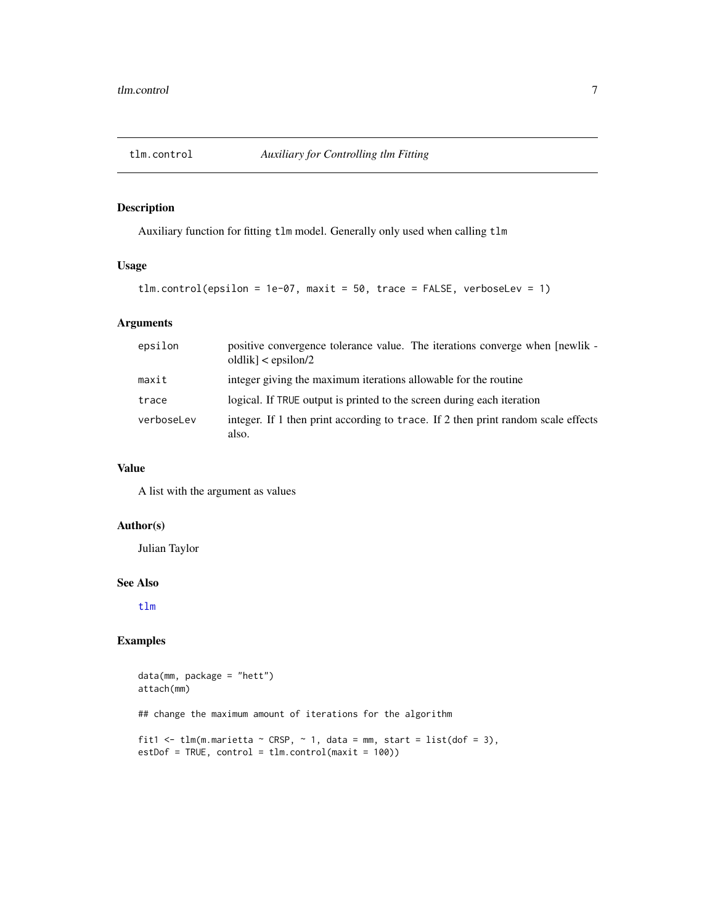<span id="page-6-0"></span>

#### Description

Auxiliary function for fitting tlm model. Generally only used when calling tlm

#### Usage

```
tlm.control(epsilon = 1e-07, maxit = 50, trace = FALSE, verboseLev = 1)
```
#### Arguments

| epsilon    | positive convergence tolerance value. The iterations converge when [newlik -<br>$oldlik$ < epsilon/2 |
|------------|------------------------------------------------------------------------------------------------------|
| maxit      | integer giving the maximum iterations allowable for the routine                                      |
| trace      | logical. If TRUE output is printed to the screen during each iteration                               |
| verboseLev | integer. If 1 then print according to trace. If 2 then print random scale effects<br>also.           |

#### Value

A list with the argument as values

#### Author(s)

Julian Taylor

#### See Also

[tlm](#page-3-1)

#### Examples

```
data(mm, package = "hett")
attach(mm)
## change the maximum amount of iterations for the algorithm
fit1 <- tlm(m.marietta ~ CRSP, ~ 1, data = mm, start = list(dof = 3),
estDof = TRUE, control = tlm.control(maxit = 100))
```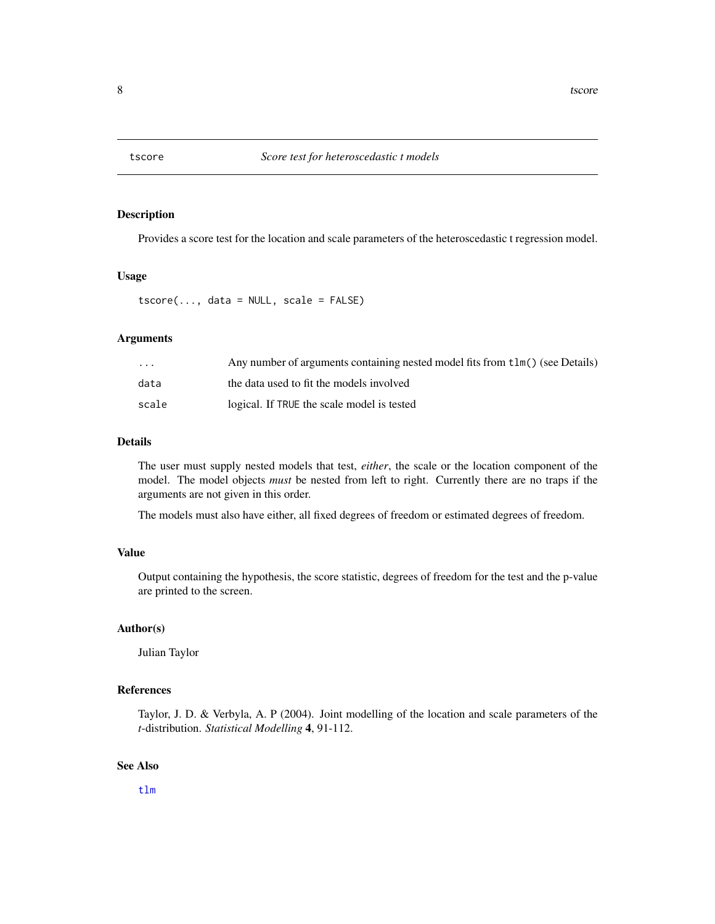<span id="page-7-0"></span>

#### Description

Provides a score test for the location and scale parameters of the heteroscedastic t regression model.

#### Usage

tscore(..., data = NULL, scale = FALSE)

#### Arguments

| $\cdot$ $\cdot$ $\cdot$ | Any number of arguments containing nested model fits from tlm() (see Details) |
|-------------------------|-------------------------------------------------------------------------------|
| data                    | the data used to fit the models involved                                      |
| scale                   | logical. If TRUE the scale model is tested                                    |

#### Details

The user must supply nested models that test, *either*, the scale or the location component of the model. The model objects *must* be nested from left to right. Currently there are no traps if the arguments are not given in this order.

The models must also have either, all fixed degrees of freedom or estimated degrees of freedom.

# Value

Output containing the hypothesis, the score statistic, degrees of freedom for the test and the p-value are printed to the screen.

#### Author(s)

Julian Taylor

#### References

Taylor, J. D. & Verbyla, A. P (2004). Joint modelling of the location and scale parameters of the *t*-distribution. *Statistical Modelling* 4, 91-112.

#### See Also

[tlm](#page-3-1)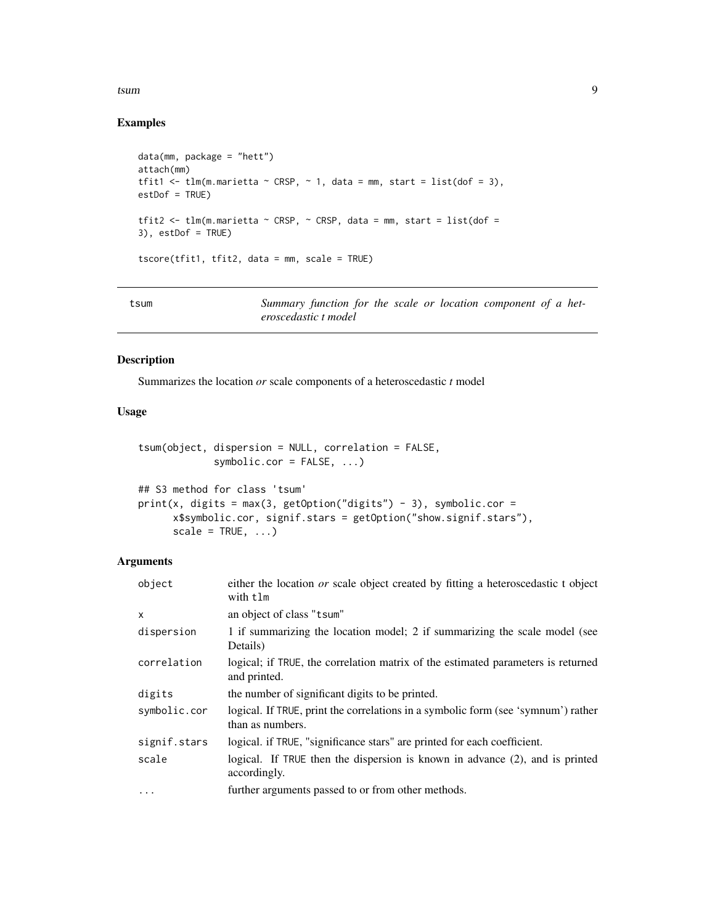#### <span id="page-8-0"></span>tsum and the contract of the contract of the contract of the contract of the contract of the contract of the contract of the contract of the contract of the contract of the contract of the contract of the contract of the c

# Examples

```
data(mm, package = "hett")
attach(mm)
tfit1 <- tlm(m.marietta \sim CRSP, \sim 1, data = mm, start = list(dof = 3),
estDof = TRUE)
tfit2 <- tlm(m.marietta ~ CRSP, ~ CRSP, data = mm, start = list(dof =
3), estDof = TRUE)
tscore(tfit1, tfit2, data = mm, scale = TRUE)
```
<span id="page-8-1"></span>

| tsum |                      |  |  |  | Summary function for the scale or location component of a het- |  |  |
|------|----------------------|--|--|--|----------------------------------------------------------------|--|--|
|      | eroscedastic t model |  |  |  |                                                                |  |  |

### Description

Summarizes the location *or* scale components of a heteroscedastic *t* model

#### Usage

```
tsum(object, dispersion = NULL, correlation = FALSE,
             symbolic.cor = FALSE, ...)
## S3 method for class 'tsum'
print(x, digits = max(3, getOption("digits") - 3), symbolic.cor =
```

```
x$symbolic.cor, signif.stars = getOption("show.signif.stars"),
scale = TRUE, ...)
```
# Arguments

| object       | either the location or scale object created by fitting a heteroscedastic t object<br>with tlm         |
|--------------|-------------------------------------------------------------------------------------------------------|
| x            | an object of class "t sum"                                                                            |
| dispersion   | 1 if summarizing the location model; 2 if summarizing the scale model (see<br>Details)                |
| correlation  | logical; if TRUE, the correlation matrix of the estimated parameters is returned<br>and printed.      |
| digits       | the number of significant digits to be printed.                                                       |
| symbolic.cor | logical. If TRUE, print the correlations in a symbolic form (see 'symnum') rather<br>than as numbers. |
| signif.stars | logical. if TRUE, "significance stars" are printed for each coefficient.                              |
| scale        | logical. If TRUE then the dispersion is known in advance $(2)$ , and is printed<br>accordingly.       |
| $\cdots$     | further arguments passed to or from other methods.                                                    |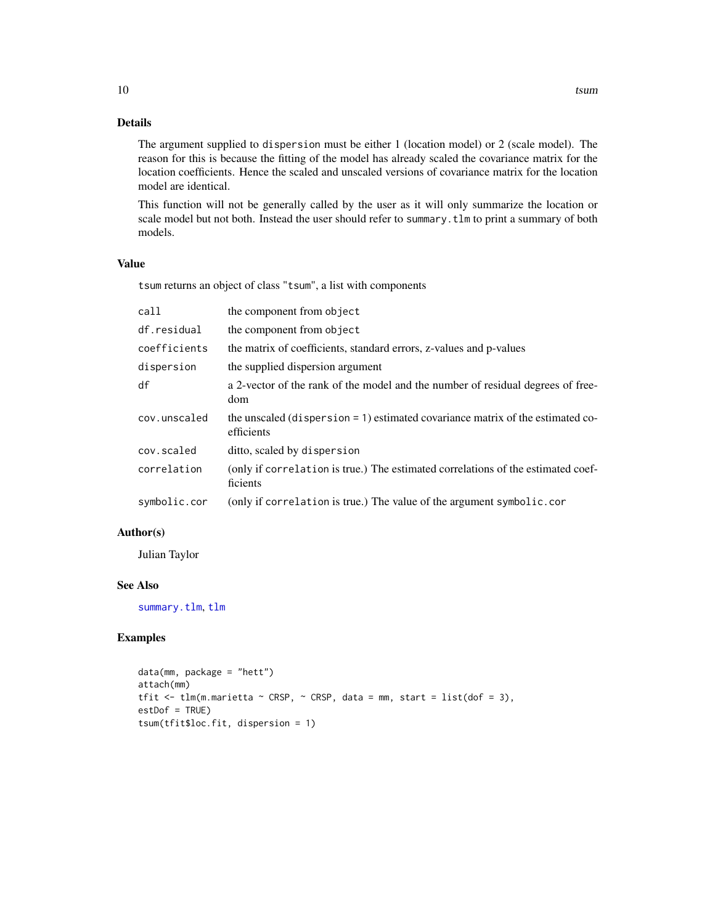#### Details

The argument supplied to dispersion must be either 1 (location model) or 2 (scale model). The reason for this is because the fitting of the model has already scaled the covariance matrix for the location coefficients. Hence the scaled and unscaled versions of covariance matrix for the location model are identical.

This function will not be generally called by the user as it will only summarize the location or scale model but not both. Instead the user should refer to summary.tlm to print a summary of both models.

#### Value

tsum returns an object of class "tsum", a list with components

| call         | the component from object                                                                    |
|--------------|----------------------------------------------------------------------------------------------|
| df.residual  | the component from object                                                                    |
| coefficients | the matrix of coefficients, standard errors, z-values and p-values                           |
| dispersion   | the supplied dispersion argument                                                             |
| df           | a 2-vector of the rank of the model and the number of residual degrees of free-<br>dom       |
| cov.unscaled | the unscaled (dispersion = 1) estimated covariance matrix of the estimated co-<br>efficients |
| cov.scaled   | ditto, scaled by dispersion                                                                  |
| correlation  | (only if correlation is true.) The estimated correlations of the estimated coef-<br>ficients |
| symbolic.cor | (only if correlation is true.) The value of the argument symbolic.cor                        |

#### Author(s)

Julian Taylor

#### See Also

[summary.tlm](#page-2-1), [tlm](#page-3-1)

#### Examples

```
data(mm, package = "hett")
attach(mm)
tfit \le tlm(m.marietta \sim CRSP, \sim CRSP, data = mm, start = list(dof = 3),
estDof = TRUE)
tsum(tfit$loc.fit, dispersion = 1)
```
<span id="page-9-0"></span>